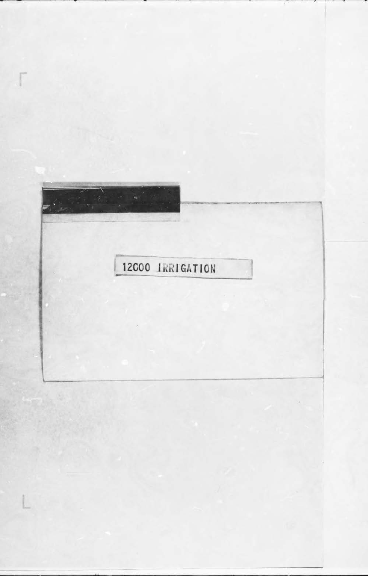## 霉 12000 IRRIGATION

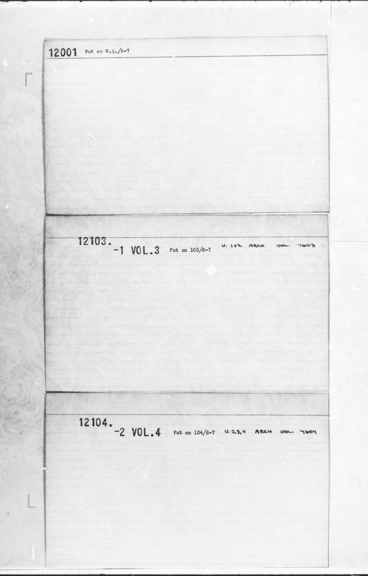12001 Put on  $H_4Q_*/8-7$  $\Gamma$ 12103.  $-1$  VOL.3 Put on 103/8-7  $0.112$ ARCH  $2001$  $150$ 

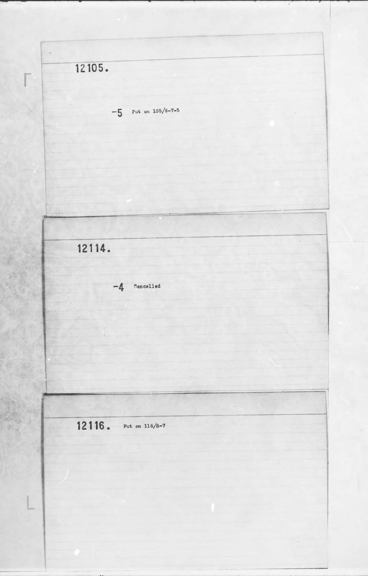- **12105. r**   $-5$  Put on  $105/8-7-5$  $\overline{\phantom{a}}$ **12114. -4** '1aneelled ~----~ I -=~~ ~-=====---------- --~~1 12 1 16. Put on 116/8-7

R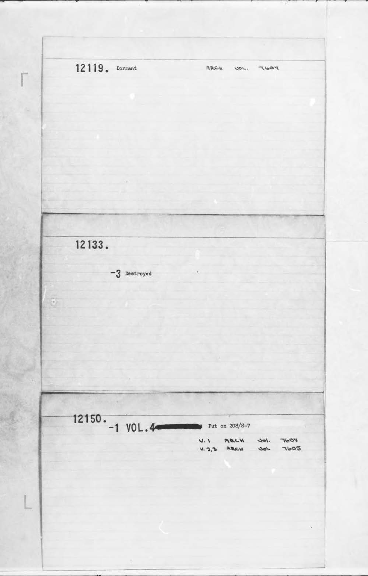12119. Dormant ARCH  $1005$ UOL. 12133.  $-3$  Destroyed  $\overline{\Theta}$ 12150.  $-1$  VOL.44  $p$  Put on 208/8-7  $0.1$ ARCH  $10L$ **7604**  $U, 2,3$  ARCH  $7605$  $J_{\alpha\beta}$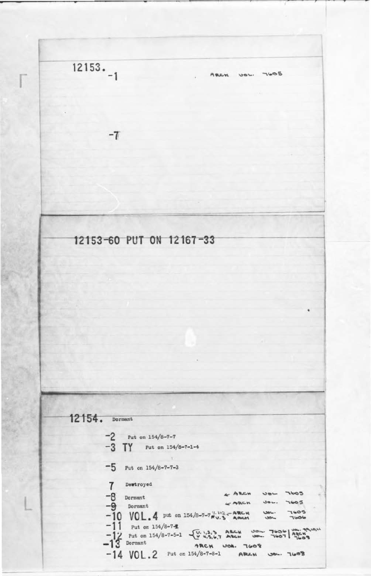

12154. Dormant  $-2$  Put on 154/8-7-7  $-3$  TY Put on 154/8-7-1-4  $-5$  Put on 154/8-7-7-3  $\overline{7}$ Dewtroyed  $\leftarrow$  ARCH  $-8$  Dormant<br> $-9$  Dormant UBL  $7605$  $\sim$  ARCH  $7605$  $30L$  $-10$  VOL. 4 put on 154/8-7-7  $\frac{V_1 V_2}{R_1 V_1 S}$  - ARCM 7605  $rac{1}{2}$ Tisole  $-14 \text{ VOL.2}$  Put on 154/8-7-8-1 ARCH JOL. 7608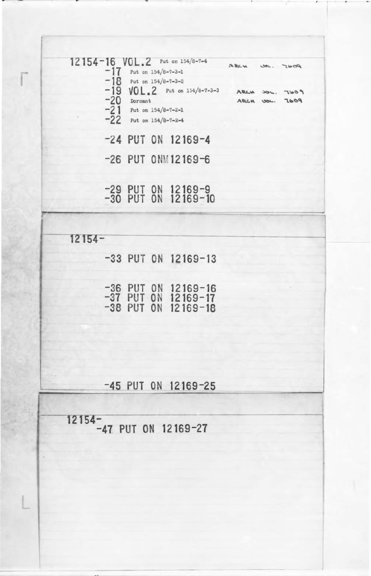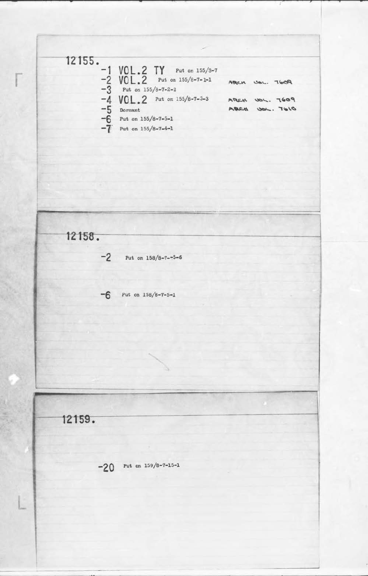- **<sup>1</sup>***z* rss-:  $-1$  VOL.2 **TY** Put on 155/3-7<br>  $-2$  VOL.2 Put on 155/8-7-1-1<br>  $-3$  Put on 155/8-7-2-2 -2 **VOL.2** Put on 155/8-7-1-1 ARCH UOL. 7609  $-3$  Put on  $155/8 - 7 - 2 - 2$  $-4 \text{ VOL.2}$  Put on 155/8-7-3-3 APLCH UOL. 7609 **4** VUL. 2 *THE OR 15576-1555* ANCH USE. 1697<br>
-5 Dormant ABLE USE. 7610 -1 VOL.2 Put on<br>
-2 VOL.2 Put on<br>
-3 Put on 155/8-7-2-3<br>
-4 VOL.2 Put on<br>
-5 Dormant<br>
-6 Put on 155/8-7-5-1<br>
-7 Put on 155/8-7-4-1 Put on  $155/8 - 7 - 4 - 1$ I --·~  $12158.$  $-2$  Put on  $158/8 - 7 - -5 - 6$ **-6** Put on 158/6-7-5-1 - -- - - 12159. **-20** Put on 159/8-7-15-1 **L** 

F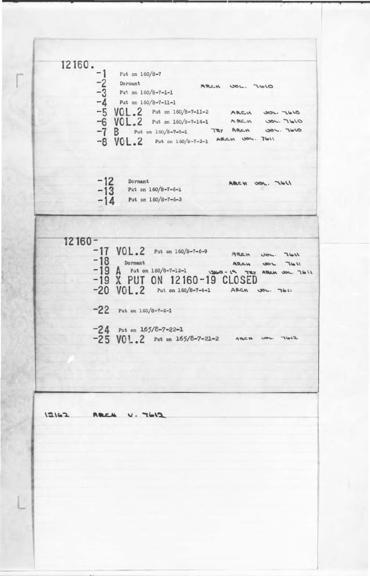**-2 5 VQ L • 2** Put on 165/8-7-21-2  $12162$ ARCH U. 7612



I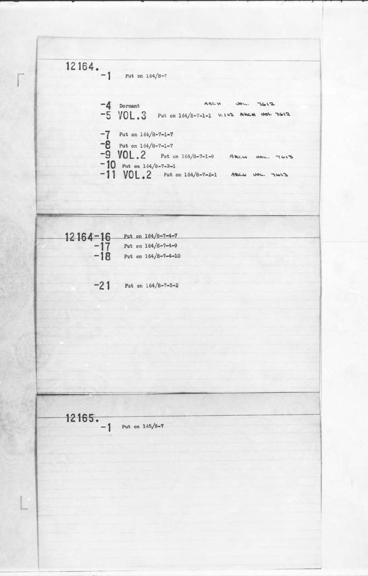I

- **12164.** - -  $\begin{bmatrix} 1 & 104 \\ -1 & \end{bmatrix}$  Put on 164/8-7  $-4$  Dormant ARCH  $\infty$  7612  $-5$  VOL.3 Put on 164/8-7-1-1  $v.142$  **Ahen Sol.** 7612  $-7$  Put on  $164/8 - 7 - 1 - 7$  $-8$  Put on  $164/8 - 7 - 1 - 7$  $-9$  **VOL.** 2 Put on 164/8-7-1-9 ARLM NOL. 7613<br>-10 Put on 164/8-7-3-1  $-11$  VOL.2 Put on 164/8-7-2-1 APLC YOU. TONS 1- • 12164-16 Put on 164/8-7-4-7 **-1 7** Put on 164/8-7-4-9 **- 18** Put on 164/8-7-4-10 **-21** Put on 164/8-7-5-2

II . - ·-- **12165.**  Put on  $165/8 - 7$ . •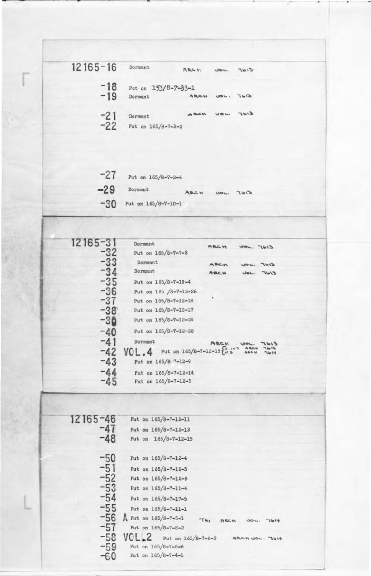| $12165 - 16$   | Dormant                               | ARCH        | 304. | 7612           |  |
|----------------|---------------------------------------|-------------|------|----------------|--|
| $-18$<br>$-19$ | Put on 153/8-7-33-1<br><b>Dormant</b> | ARCH        |      | $E/2T$ , $Jgy$ |  |
| $-21$<br>$-22$ | Dormant<br>Put on 165/8-7-3-2         | <b>ARCH</b> |      | $5145$ JOU     |  |

| $-71$         | Put on 165/8-7-2-6  |      |      |     |
|---------------|---------------------|------|------|-----|
| $-29$         | Dormant             | ABCH | UOL. | 761 |
| $-30^{\circ}$ | Put on 165/8-7-10-1 |      |      |     |

| 12165-31                         | Dormant                                                     | <b>ARC H</b>       | $51d$ , $-1613$           |      |
|----------------------------------|-------------------------------------------------------------|--------------------|---------------------------|------|
| -32                              | Put on 165/8-7-7-3                                          |                    |                           |      |
| $-33$<br>$-34$                   | Dormant                                                     | ABC.M              | 304, 7613                 |      |
|                                  | Dormant                                                     | ARCH               | $C/d\Gamma$ , $d\Theta U$ |      |
|                                  | Put on 165/8-7-19-4                                         |                    |                           |      |
| $-35$<br>$-36$<br>$-37$          | Put on 165 /8-7-12-26                                       |                    |                           |      |
|                                  | Put on 165/8-7-12-18                                        |                    |                           |      |
|                                  | Put on 165/8-7-12-27                                        |                    |                           |      |
| $-38$<br>$-30$                   | Put on 165/8-7-12-24                                        |                    |                           |      |
| $-40$                            | Put on 165/8-7-12-22                                        |                    |                           |      |
| $-41$                            | Dormant                                                     | ARCH               |                           |      |
| $-42$                            | $VOL.4$ Put on 165/8-7-12-15 $\frac{C_{11}+2}{C_{12}}$ ARCH |                    |                           | 7614 |
| $-43$                            | Put on 165/8 7-12-9                                         |                    |                           |      |
| -44                              | Put on 165/8-7-12-14                                        |                    |                           |      |
| $-45$                            | Put on $165/8 - 7 - 12 - 3$                                 |                    |                           |      |
|                                  |                                                             |                    |                           |      |
| 12165-46<br>-47                  | Put on 165/8-7-12-11<br>Put on 165/8-7-12-13                |                    |                           |      |
| $-48$                            | Put on 165/8-7-12-15                                        |                    |                           |      |
| $-50$                            | Put on 165/8-7-12-4                                         |                    |                           |      |
|                                  | Put on 165/8-7-12-5                                         |                    |                           |      |
|                                  | Put on 165/8-7-12-6                                         |                    |                           |      |
|                                  | Put on 165/8-7-11-4                                         |                    |                           |      |
|                                  | Put on 165/8-7-17-5                                         |                    |                           |      |
| $-51$<br>$-52$<br>$-53$<br>$-54$ | Put on 165/8-7-11-1                                         |                    |                           |      |
|                                  | $A$ Put on 165/8-7-5-1                                      | TRY<br><b>ARCH</b> | <b>UDL.</b>               | 7614 |
| $-55$<br>$-56$<br>$-57$          | Put on $165/8 - 7 - 8 - 2$                                  |                    |                           |      |
| $-58$                            | $VOL 2$ Put on 165/8-7-8-3                                  |                    | ARCHUOL. JOH              |      |
| $-59$                            | Put on 165/8-7-8-6<br>Put on 165/8-7-4-1                    |                    |                           |      |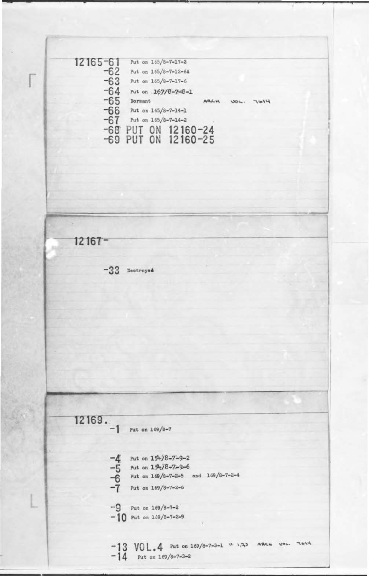12165-61 Put on 165/8-7-17-2  $-62$  Put on 165/8-7-12-64<br> $-63$  Put on 165/8-7-17-6<br> $-64$  Put on 167/8-7-17-6 **-63** Put on 165/8-7-17-6  $-64$  Put on  $167/8 - 7 - 8 - 1$  $-65$  Dormant ARCH UOL:  $\frac{1614}{-66}$  Put on 165/8-7-14-1  $-67$  Put on  $165/8 - 7 - 14 - 2$ **-68 PUT ON 12160-24 -69 PUT ON 12160-25**   $12167 -33$  Destroyed 12169. Put on 169/8-7 • -4 Put on  $15\frac{1}{8}$ -7-9-2<br>
-5 Put on  $15\frac{1}{8}$ -7-9-6<br>
-6 Put on  $169/8$ -7-2-5<br>
-7 Put on  $169/8$ -7-2-5<br>
-7 Put on  $169/8$ -7-2-6 Put on  $15 + 7 - 9 - 6$ Put on  $169/8 - 7 - 2 - 5$  and  $169/8 - 7 - 2 - 4$ Put on  $169/8 - 7 - 2 - 6$  $-9$  Put on  $169/8 - 7 - 2$  $-10$  Put on  $169/8 - 7 - 2 - 9$  $-13$   $VOL.4$  Put on 169/8-7-3-1 v. 1,33 ARCH USL. TOIY  $-14$  Put on  $169/8 - 7 - 3 - 2$